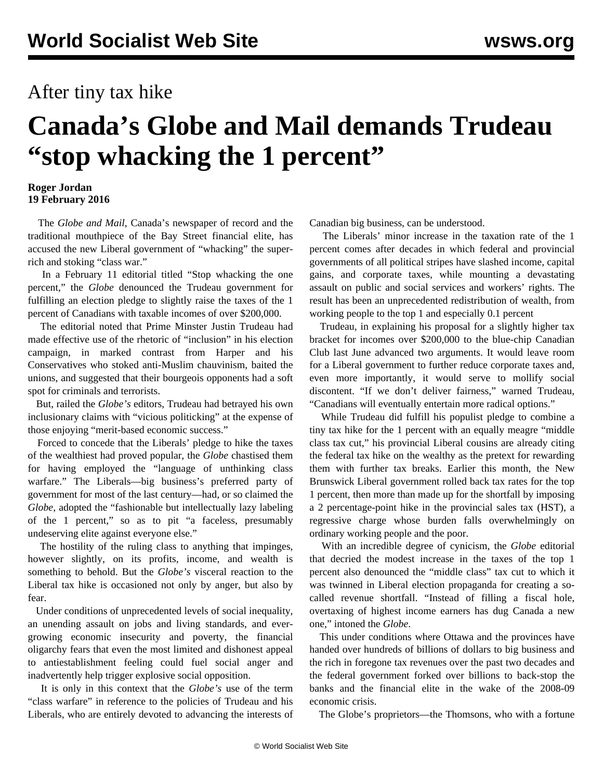## After tiny tax hike

## **Canada's Globe and Mail demands Trudeau "stop whacking the 1 percent"**

## **Roger Jordan 19 February 2016**

 The *Globe and Mail*, Canada's newspaper of record and the traditional mouthpiece of the Bay Street financial elite, has accused the new Liberal government of "whacking" the superrich and stoking "class war."

 In a February 11 editorial titled "Stop whacking the one percent," the *Globe* denounced the Trudeau government for fulfilling an election pledge to slightly raise the taxes of the 1 percent of Canadians with taxable incomes of over \$200,000.

 The editorial noted that Prime Minster Justin Trudeau had made effective use of the rhetoric of "inclusion" in his election campaign, in marked contrast from Harper and his Conservatives who stoked anti-Muslim chauvinism, baited the unions, and suggested that their bourgeois opponents had a soft spot for criminals and terrorists.

 But, railed the *Globe's* editors, Trudeau had betrayed his own inclusionary claims with "vicious politicking" at the expense of those enjoying "merit-based economic success."

 Forced to concede that the Liberals' pledge to hike the taxes of the wealthiest had proved popular, the *Globe* chastised them for having employed the "language of unthinking class warfare." The Liberals—big business's preferred party of government for most of the last century—had, or so claimed the *Globe,* adopted the "fashionable but intellectually lazy labeling of the 1 percent," so as to pit "a faceless, presumably undeserving elite against everyone else."

 The hostility of the ruling class to anything that impinges, however slightly, on its profits, income, and wealth is something to behold. But the *Globe's* visceral reaction to the Liberal tax hike is occasioned not only by anger, but also by fear.

 Under conditions of unprecedented levels of social inequality, an unending assault on jobs and living standards, and evergrowing economic insecurity and poverty, the financial oligarchy fears that even the most limited and dishonest appeal to antiestablishment feeling could fuel social anger and inadvertently help trigger explosive social opposition.

 It is only in this context that the *Globe's* use of the term "class warfare" in reference to the policies of Trudeau and his Liberals, who are entirely devoted to advancing the interests of Canadian big business, can be understood.

 The Liberals' minor increase in the taxation rate of the 1 percent comes after decades in which federal and provincial governments of all political stripes have slashed income, capital gains, and corporate taxes, while mounting a devastating assault on public and social services and workers' rights. The result has been an unprecedented redistribution of wealth, from working people to the top 1 and especially 0.1 percent

 Trudeau, in explaining his proposal for a slightly higher tax bracket for incomes over \$200,000 to the blue-chip Canadian Club last June advanced two arguments. It would leave room for a Liberal government to further reduce corporate taxes and, even more importantly, it would serve to mollify social discontent. "If we don't deliver fairness," warned Trudeau, "Canadians will eventually entertain more radical options."

 While Trudeau did fulfill his populist pledge to combine a tiny tax hike for the 1 percent with an equally meagre "middle class tax cut," his provincial Liberal cousins are already citing the federal tax hike on the wealthy as the pretext for rewarding them with further tax breaks. Earlier this month, the New Brunswick Liberal government rolled back tax rates for the top 1 percent, then more than made up for the shortfall by imposing a 2 percentage-point hike in the provincial sales tax (HST), a regressive charge whose burden falls overwhelmingly on ordinary working people and the poor.

 With an incredible degree of cynicism, the *Globe* editorial that decried the modest increase in the taxes of the top 1 percent also denounced the "middle class" tax cut to which it was twinned in Liberal election propaganda for creating a socalled revenue shortfall. "Instead of filling a fiscal hole, overtaxing of highest income earners has dug Canada a new one," intoned the *Globe*.

 This under conditions where Ottawa and the provinces have handed over hundreds of billions of dollars to big business and the rich in foregone tax revenues over the past two decades and the federal government forked over billions to back-stop the banks and the financial elite in the wake of the 2008-09 economic crisis.

The Globe's proprietors—the Thomsons, who with a fortune